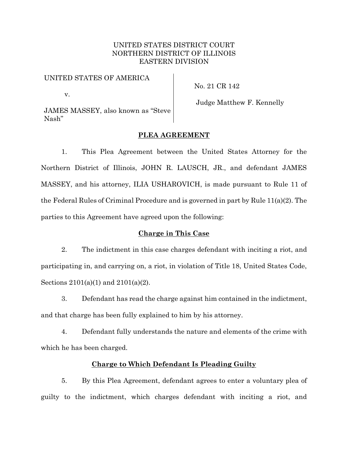# UNITED STATES DISTRICT COURT NORTHERN DISTRICT OF ILLINOIS EASTERN DIVISION

# UNITED STATES OF AMERICA

No. 21 CR 142

v.

Judge Matthew F. Kennelly

JAMES MASSEY, also known as "Steve Nash"

# **PLEA AGREEMENT**

1. This Plea Agreement between the United States Attorney for the Northern District of Illinois, JOHN R. LAUSCH, JR., and defendant JAMES MASSEY, and his attorney, ILIA USHAROVICH, is made pursuant to Rule 11 of the Federal Rules of Criminal Procedure and is governed in part by Rule 11(a)(2). The parties to this Agreement have agreed upon the following:

### **Charge in This Case**

2. The indictment in this case charges defendant with inciting a riot, and participating in, and carrying on, a riot, in violation of Title 18, United States Code, Sections 2101(a)(1) and 2101(a)(2).

3. Defendant has read the charge against him contained in the indictment, and that charge has been fully explained to him by his attorney.

4. Defendant fully understands the nature and elements of the crime with which he has been charged.

# **Charge to Which Defendant Is Pleading Guilty**

5. By this Plea Agreement, defendant agrees to enter a voluntary plea of guilty to the indictment, which charges defendant with inciting a riot, and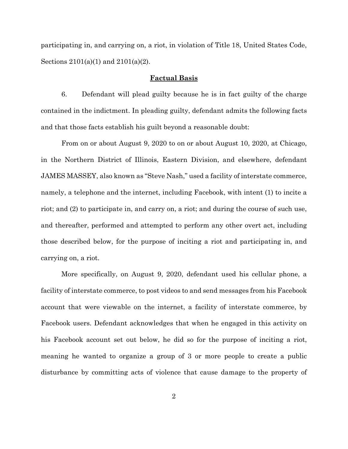participating in, and carrying on, a riot, in violation of Title 18, United States Code, Sections 2101(a)(1) and 2101(a)(2).

# **Factual Basis**

6. Defendant will plead guilty because he is in fact guilty of the charge contained in the indictment. In pleading guilty, defendant admits the following facts and that those facts establish his guilt beyond a reasonable doubt:

From on or about August 9, 2020 to on or about August 10, 2020, at Chicago, in the Northern District of Illinois, Eastern Division, and elsewhere, defendant JAMES MASSEY, also known as "Steve Nash," used a facility of interstate commerce, namely, a telephone and the internet, including Facebook, with intent (1) to incite a riot; and (2) to participate in, and carry on, a riot; and during the course of such use, and thereafter, performed and attempted to perform any other overt act, including those described below, for the purpose of inciting a riot and participating in, and carrying on, a riot.

More specifically, on August 9, 2020, defendant used his cellular phone, a facility of interstate commerce, to post videos to and send messages from his Facebook account that were viewable on the internet, a facility of interstate commerce, by Facebook users. Defendant acknowledges that when he engaged in this activity on his Facebook account set out below, he did so for the purpose of inciting a riot, meaning he wanted to organize a group of 3 or more people to create a public disturbance by committing acts of violence that cause damage to the property of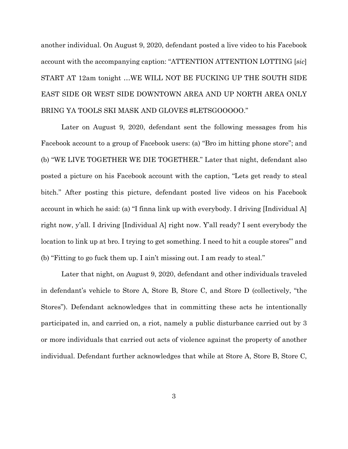another individual. On August 9, 2020, defendant posted a live video to his Facebook account with the accompanying caption: "ATTENTION ATTENTION LOTTING [*sic*] START AT 12am tonight …WE WILL NOT BE FUCKING UP THE SOUTH SIDE EAST SIDE OR WEST SIDE DOWNTOWN AREA AND UP NORTH AREA ONLY BRING YA TOOLS SKI MASK AND GLOVES #LETSGOOOOO."

Later on August 9, 2020, defendant sent the following messages from his Facebook account to a group of Facebook users: (a) "Bro im hitting phone store"; and (b) "WE LIVE TOGETHER WE DIE TOGETHER." Later that night, defendant also posted a picture on his Facebook account with the caption, "Lets get ready to steal bitch." After posting this picture, defendant posted live videos on his Facebook account in which he said: (a) "I finna link up with everybody. I driving [Individual A] right now, y'all. I driving [Individual A] right now. Y'all ready? I sent everybody the location to link up at bro. I trying to get something. I need to hit a couple stores"' and (b) "Fitting to go fuck them up. I ain't missing out. I am ready to steal."

Later that night, on August 9, 2020, defendant and other individuals traveled in defendant's vehicle to Store A, Store B, Store C, and Store D (collectively, "the Stores"). Defendant acknowledges that in committing these acts he intentionally participated in, and carried on, a riot, namely a public disturbance carried out by 3 or more individuals that carried out acts of violence against the property of another individual. Defendant further acknowledges that while at Store A, Store B, Store C,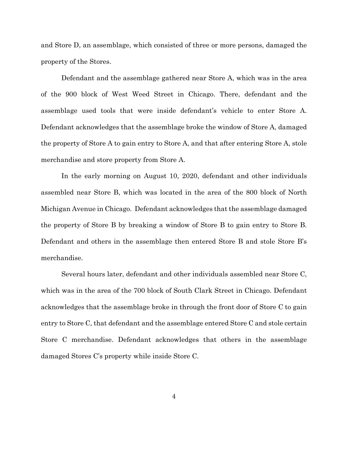and Store D, an assemblage, which consisted of three or more persons, damaged the property of the Stores.

Defendant and the assemblage gathered near Store A, which was in the area of the 900 block of West Weed Street in Chicago. There, defendant and the assemblage used tools that were inside defendant's vehicle to enter Store A. Defendant acknowledges that the assemblage broke the window of Store A, damaged the property of Store A to gain entry to Store A, and that after entering Store A, stole merchandise and store property from Store A.

In the early morning on August 10, 2020, defendant and other individuals assembled near Store B, which was located in the area of the 800 block of North Michigan Avenue in Chicago. Defendant acknowledges that the assemblage damaged the property of Store B by breaking a window of Store B to gain entry to Store B. Defendant and others in the assemblage then entered Store B and stole Store B's merchandise.

Several hours later, defendant and other individuals assembled near Store C, which was in the area of the 700 block of South Clark Street in Chicago. Defendant acknowledges that the assemblage broke in through the front door of Store C to gain entry to Store C, that defendant and the assemblage entered Store C and stole certain Store C merchandise. Defendant acknowledges that others in the assemblage damaged Stores C's property while inside Store C.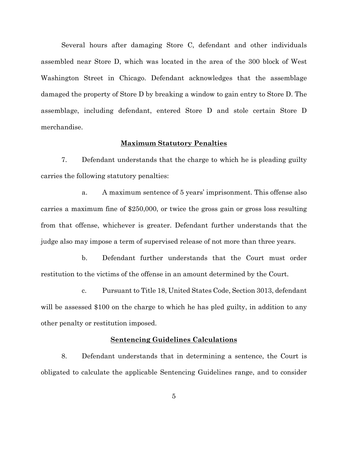Several hours after damaging Store C, defendant and other individuals assembled near Store D, which was located in the area of the 300 block of West Washington Street in Chicago. Defendant acknowledges that the assemblage damaged the property of Store D by breaking a window to gain entry to Store D. The assemblage, including defendant, entered Store D and stole certain Store D merchandise.

### **Maximum Statutory Penalties**

7. Defendant understands that the charge to which he is pleading guilty carries the following statutory penalties:

a. A maximum sentence of 5 years' imprisonment. This offense also carries a maximum fine of \$250,000, or twice the gross gain or gross loss resulting from that offense, whichever is greater. Defendant further understands that the judge also may impose a term of supervised release of not more than three years.

b. Defendant further understands that the Court must order restitution to the victims of the offense in an amount determined by the Court.

c. Pursuant to Title 18, United States Code, Section 3013, defendant will be assessed \$100 on the charge to which he has pled guilty, in addition to any other penalty or restitution imposed.

### **Sentencing Guidelines Calculations**

8. Defendant understands that in determining a sentence, the Court is obligated to calculate the applicable Sentencing Guidelines range, and to consider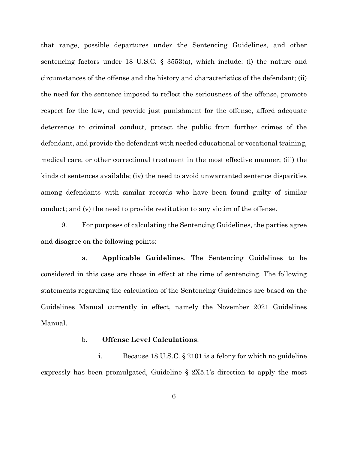that range, possible departures under the Sentencing Guidelines, and other sentencing factors under 18 U.S.C. § 3553(a), which include: (i) the nature and circumstances of the offense and the history and characteristics of the defendant; (ii) the need for the sentence imposed to reflect the seriousness of the offense, promote respect for the law, and provide just punishment for the offense, afford adequate deterrence to criminal conduct, protect the public from further crimes of the defendant, and provide the defendant with needed educational or vocational training, medical care, or other correctional treatment in the most effective manner; (iii) the kinds of sentences available; (iv) the need to avoid unwarranted sentence disparities among defendants with similar records who have been found guilty of similar conduct; and (v) the need to provide restitution to any victim of the offense.

9. For purposes of calculating the Sentencing Guidelines, the parties agree and disagree on the following points:

a. **Applicable Guidelines**. The Sentencing Guidelines to be considered in this case are those in effect at the time of sentencing. The following statements regarding the calculation of the Sentencing Guidelines are based on the Guidelines Manual currently in effect, namely the November 2021 Guidelines Manual.

# b. **Offense Level Calculations**.

i. Because 18 U.S.C. § 2101 is a felony for which no guideline expressly has been promulgated, Guideline § 2X5.1's direction to apply the most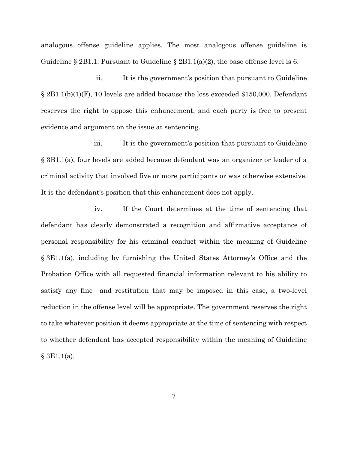analogous offense guideline applies. The most analogous offense guideline is Guideline § 2B1.1. Pursuant to Guideline § 2B1.1(a)(2), the base offense level is 6.

ii. It is the government's position that pursuant to Guideline § 2B1.1(b)(1)(F), 10 levels are added because the loss exceeded \$150,000. Defendant reserves the right to oppose this enhancement, and each party is free to present evidence and argument on the issue at sentencing.

iii. It is the government's position that pursuant to Guideline § 3B1.1(a), four levels are added because defendant was an organizer or leader of a criminal activity that involved five or more participants or was otherwise extensive. It is the defendant's position that this enhancement does not apply.

iv. If the Court determines at the time of sentencing that defendant has clearly demonstrated a recognition and affirmative acceptance of personal responsibility for his criminal conduct within the meaning of Guideline § 3E1.1(a), including by furnishing the United States Attorney's Office and the Probation Office with all requested financial information relevant to his ability to satisfy any fine and restitution that may be imposed in this case, a two-level reduction in the offense level will be appropriate. The government reserves the right to take whatever position it deems appropriate at the time of sentencing with respect to whether defendant has accepted responsibility within the meaning of Guideline  $§ 3E1.1(a).$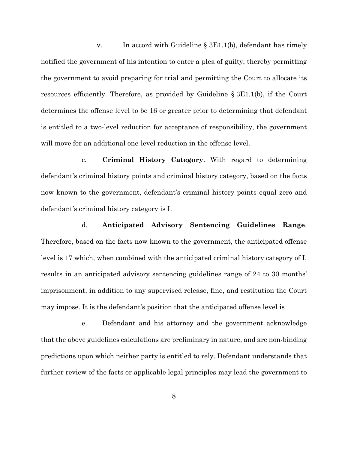v. In accord with Guideline § 3E1.1(b), defendant has timely notified the government of his intention to enter a plea of guilty, thereby permitting the government to avoid preparing for trial and permitting the Court to allocate its resources efficiently. Therefore, as provided by Guideline § 3E1.1(b), if the Court determines the offense level to be 16 or greater prior to determining that defendant is entitled to a two-level reduction for acceptance of responsibility, the government will move for an additional one-level reduction in the offense level.

c. **Criminal History Category**. With regard to determining defendant's criminal history points and criminal history category, based on the facts now known to the government, defendant's criminal history points equal zero and defendant's criminal history category is I.

d. **Anticipated Advisory Sentencing Guidelines Range**. Therefore, based on the facts now known to the government, the anticipated offense level is 17 which, when combined with the anticipated criminal history category of I, results in an anticipated advisory sentencing guidelines range of 24 to 30 months' imprisonment, in addition to any supervised release, fine, and restitution the Court may impose. It is the defendant's position that the anticipated offense level is

e. Defendant and his attorney and the government acknowledge that the above guidelines calculations are preliminary in nature, and are non-binding predictions upon which neither party is entitled to rely. Defendant understands that further review of the facts or applicable legal principles may lead the government to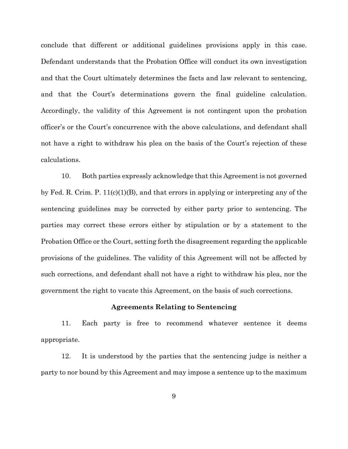conclude that different or additional guidelines provisions apply in this case. Defendant understands that the Probation Office will conduct its own investigation and that the Court ultimately determines the facts and law relevant to sentencing, and that the Court's determinations govern the final guideline calculation. Accordingly, the validity of this Agreement is not contingent upon the probation officer's or the Court's concurrence with the above calculations, and defendant shall not have a right to withdraw his plea on the basis of the Court's rejection of these calculations.

10. Both parties expressly acknowledge that this Agreement is not governed by Fed. R. Crim. P.  $11(c)(1)(B)$ , and that errors in applying or interpreting any of the sentencing guidelines may be corrected by either party prior to sentencing. The parties may correct these errors either by stipulation or by a statement to the Probation Office or the Court, setting forth the disagreement regarding the applicable provisions of the guidelines. The validity of this Agreement will not be affected by such corrections, and defendant shall not have a right to withdraw his plea, nor the government the right to vacate this Agreement, on the basis of such corrections.

#### **Agreements Relating to Sentencing**

11. Each party is free to recommend whatever sentence it deems appropriate.

12. It is understood by the parties that the sentencing judge is neither a party to nor bound by this Agreement and may impose a sentence up to the maximum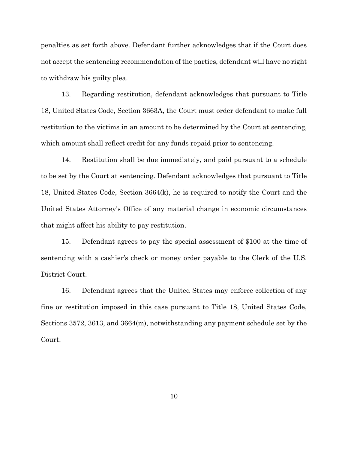penalties as set forth above. Defendant further acknowledges that if the Court does not accept the sentencing recommendation of the parties, defendant will have no right to withdraw his guilty plea.

13. Regarding restitution, defendant acknowledges that pursuant to Title 18, United States Code, Section 3663A, the Court must order defendant to make full restitution to the victims in an amount to be determined by the Court at sentencing, which amount shall reflect credit for any funds repaid prior to sentencing.

14. Restitution shall be due immediately, and paid pursuant to a schedule to be set by the Court at sentencing. Defendant acknowledges that pursuant to Title 18, United States Code, Section 3664(k), he is required to notify the Court and the United States Attorney's Office of any material change in economic circumstances that might affect his ability to pay restitution.

15. Defendant agrees to pay the special assessment of \$100 at the time of sentencing with a cashier's check or money order payable to the Clerk of the U.S. District Court.

16. Defendant agrees that the United States may enforce collection of any fine or restitution imposed in this case pursuant to Title 18, United States Code, Sections 3572, 3613, and 3664(m), notwithstanding any payment schedule set by the Court.

10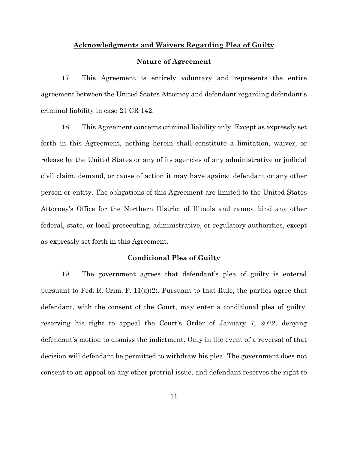#### **Acknowledgments and Waivers Regarding Plea of Guilty**

#### **Nature of Agreement**

17. This Agreement is entirely voluntary and represents the entire agreement between the United States Attorney and defendant regarding defendant's criminal liability in case 21 CR 142.

18. This Agreement concerns criminal liability only. Except as expressly set forth in this Agreement, nothing herein shall constitute a limitation, waiver, or release by the United States or any of its agencies of any administrative or judicial civil claim, demand, or cause of action it may have against defendant or any other person or entity. The obligations of this Agreement are limited to the United States Attorney's Office for the Northern District of Illinois and cannot bind any other federal, state, or local prosecuting, administrative, or regulatory authorities, except as expressly set forth in this Agreement.

### **Conditional Plea of Guilty**

19. The government agrees that defendant's plea of guilty is entered pursuant to Fed. R. Crim. P.  $11(a)(2)$ . Pursuant to that Rule, the parties agree that defendant, with the consent of the Court, may enter a conditional plea of guilty, reserving his right to appeal the Court's Order of January 7, 2022, denying defendant's motion to dismiss the indictment. Only in the event of a reversal of that decision will defendant be permitted to withdraw his plea. The government does not consent to an appeal on any other pretrial issue, and defendant reserves the right to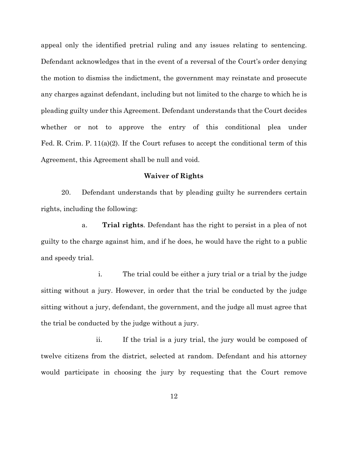appeal only the identified pretrial ruling and any issues relating to sentencing. Defendant acknowledges that in the event of a reversal of the Court's order denying the motion to dismiss the indictment, the government may reinstate and prosecute any charges against defendant, including but not limited to the charge to which he is pleading guilty under this Agreement. Defendant understands that the Court decides whether or not to approve the entry of this conditional plea under Fed. R. Crim. P.  $11(a)(2)$ . If the Court refuses to accept the conditional term of this Agreement, this Agreement shall be null and void.

### **Waiver of Rights**

20. Defendant understands that by pleading guilty he surrenders certain rights, including the following:

a. **Trial rights**. Defendant has the right to persist in a plea of not guilty to the charge against him, and if he does, he would have the right to a public and speedy trial.

i. The trial could be either a jury trial or a trial by the judge sitting without a jury. However, in order that the trial be conducted by the judge sitting without a jury, defendant, the government, and the judge all must agree that the trial be conducted by the judge without a jury.

ii. If the trial is a jury trial, the jury would be composed of twelve citizens from the district, selected at random. Defendant and his attorney would participate in choosing the jury by requesting that the Court remove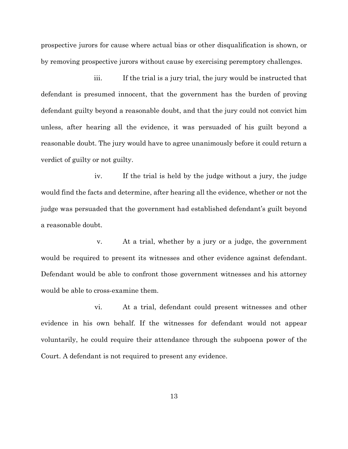prospective jurors for cause where actual bias or other disqualification is shown, or by removing prospective jurors without cause by exercising peremptory challenges.

iii. If the trial is a jury trial, the jury would be instructed that defendant is presumed innocent, that the government has the burden of proving defendant guilty beyond a reasonable doubt, and that the jury could not convict him unless, after hearing all the evidence, it was persuaded of his guilt beyond a reasonable doubt. The jury would have to agree unanimously before it could return a verdict of guilty or not guilty.

iv. If the trial is held by the judge without a jury, the judge would find the facts and determine, after hearing all the evidence, whether or not the judge was persuaded that the government had established defendant's guilt beyond a reasonable doubt.

v. At a trial, whether by a jury or a judge, the government would be required to present its witnesses and other evidence against defendant. Defendant would be able to confront those government witnesses and his attorney would be able to cross-examine them.

vi. At a trial, defendant could present witnesses and other evidence in his own behalf. If the witnesses for defendant would not appear voluntarily, he could require their attendance through the subpoena power of the Court. A defendant is not required to present any evidence.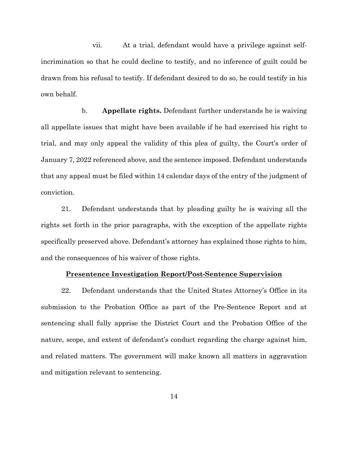vii. At a trial, defendant would have a privilege against selfincrimination so that he could decline to testify, and no inference of guilt could be drawn from his refusal to testify. If defendant desired to do so, he could testify in his own behalf.

b. **Appellate rights.** Defendant further understands he is waiving all appellate issues that might have been available if he had exercised his right to trial, and may only appeal the validity of this plea of guilty, the Court's order of January 7, 2022 referenced above, and the sentence imposed. Defendant understands that any appeal must be filed within 14 calendar days of the entry of the judgment of conviction.

21. Defendant understands that by pleading guilty he is waiving all the rights set forth in the prior paragraphs, with the exception of the appellate rights specifically preserved above. Defendant's attorney has explained those rights to him, and the consequences of his waiver of those rights.

# **Presentence Investigation Report/Post-Sentence Supervision**

22. Defendant understands that the United States Attorney's Office in its submission to the Probation Office as part of the Pre-Sentence Report and at sentencing shall fully apprise the District Court and the Probation Office of the nature, scope, and extent of defendant's conduct regarding the charge against him, and related matters. The government will make known all matters in aggravation and mitigation relevant to sentencing.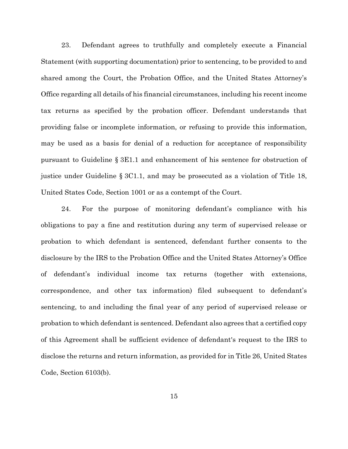23. Defendant agrees to truthfully and completely execute a Financial Statement (with supporting documentation) prior to sentencing, to be provided to and shared among the Court, the Probation Office, and the United States Attorney's Office regarding all details of his financial circumstances, including his recent income tax returns as specified by the probation officer. Defendant understands that providing false or incomplete information, or refusing to provide this information, may be used as a basis for denial of a reduction for acceptance of responsibility pursuant to Guideline § 3E1.1 and enhancement of his sentence for obstruction of justice under Guideline § 3C1.1, and may be prosecuted as a violation of Title 18, United States Code, Section 1001 or as a contempt of the Court.

24. For the purpose of monitoring defendant's compliance with his obligations to pay a fine and restitution during any term of supervised release or probation to which defendant is sentenced, defendant further consents to the disclosure by the IRS to the Probation Office and the United States Attorney's Office of defendant's individual income tax returns (together with extensions, correspondence, and other tax information) filed subsequent to defendant's sentencing, to and including the final year of any period of supervised release or probation to which defendant is sentenced. Defendant also agrees that a certified copy of this Agreement shall be sufficient evidence of defendant's request to the IRS to disclose the returns and return information, as provided for in Title 26, United States Code, Section 6103(b).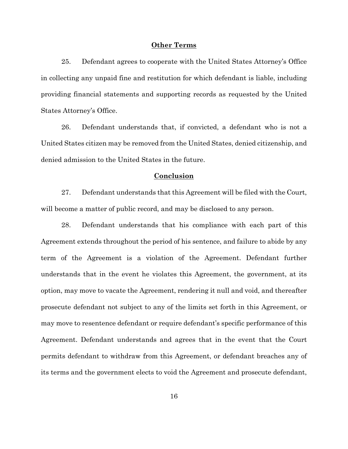#### **Other Terms**

25. Defendant agrees to cooperate with the United States Attorney's Office in collecting any unpaid fine and restitution for which defendant is liable, including providing financial statements and supporting records as requested by the United States Attorney's Office.

26. Defendant understands that, if convicted, a defendant who is not a United States citizen may be removed from the United States, denied citizenship, and denied admission to the United States in the future.

#### **Conclusion**

27. Defendant understands that this Agreement will be filed with the Court, will become a matter of public record, and may be disclosed to any person.

28. Defendant understands that his compliance with each part of this Agreement extends throughout the period of his sentence, and failure to abide by any term of the Agreement is a violation of the Agreement. Defendant further understands that in the event he violates this Agreement, the government, at its option, may move to vacate the Agreement, rendering it null and void, and thereafter prosecute defendant not subject to any of the limits set forth in this Agreement, or may move to resentence defendant or require defendant's specific performance of this Agreement. Defendant understands and agrees that in the event that the Court permits defendant to withdraw from this Agreement, or defendant breaches any of its terms and the government elects to void the Agreement and prosecute defendant,